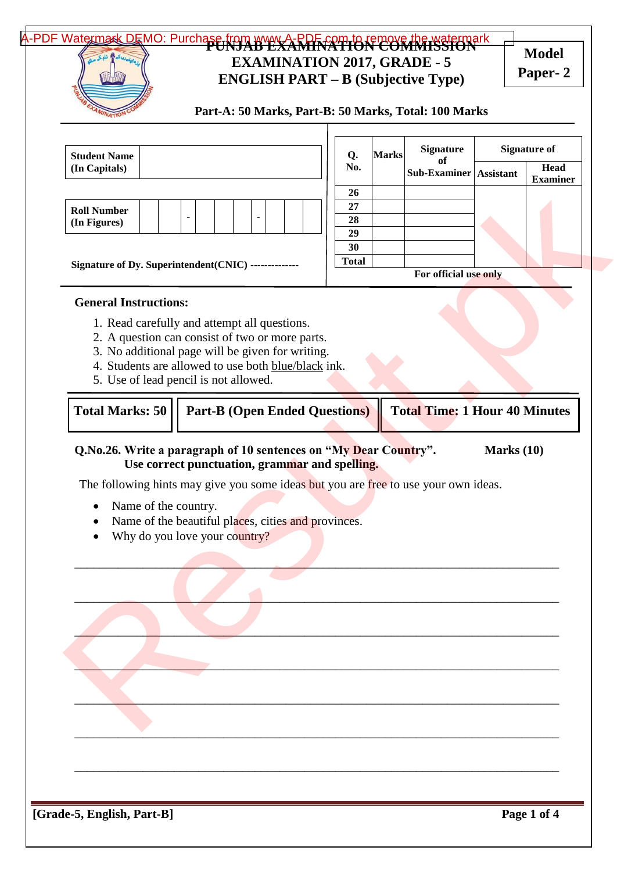## A-PDF Watermark DEMO: Purchase from www.A-RDF.com to remove the watermark **EXAMINATION 2017, GRADE - 5 ENGLISH PART – B (Subjective Type) Model**

**Paper- 2**

| Part-A: 50 Marks, Part-B: 50 Marks, Total: 100 Marks |  |  |  |
|------------------------------------------------------|--|--|--|
|------------------------------------------------------|--|--|--|

| <b>Head</b><br>No.<br>Sub-Examiner Assistant<br><b>Examiner</b><br>26<br>27<br>28<br>29<br>30<br><b>Total</b><br>For official use only<br>1. Read carefully and attempt all questions.<br>2. A question can consist of two or more parts.<br>3. No additional page will be given for writing.<br>4. Students are allowed to use both blue/black ink.<br>5. Use of lead pencil is not allowed.<br><b>Total Time: 1 Hour 40 Minutes</b><br><b>Part-B (Open Ended Questions)</b><br>Marks $(10)$<br>Use correct punctuation, grammar and spelling.<br>The following hints may give you some ideas but you are free to use your own ideas.<br>Name of the country.<br>$\bullet$<br>Name of the beautiful places, cities and provinces.<br>٠<br>Why do you love your country? | <b>Student Name</b>    | Q. | <b>Marks</b> | <b>Signature</b> | <b>Signature of</b> |
|--------------------------------------------------------------------------------------------------------------------------------------------------------------------------------------------------------------------------------------------------------------------------------------------------------------------------------------------------------------------------------------------------------------------------------------------------------------------------------------------------------------------------------------------------------------------------------------------------------------------------------------------------------------------------------------------------------------------------------------------------------------------------|------------------------|----|--------------|------------------|---------------------|
| <b>Roll Number</b><br>(In Figures)<br>Signature of Dy. Superintendent(CNIC) ---------------<br><b>General Instructions:</b><br>Q.No.26. Write a paragraph of 10 sentences on "My Dear Country".                                                                                                                                                                                                                                                                                                                                                                                                                                                                                                                                                                          | (In Capitals)          |    |              | of               |                     |
|                                                                                                                                                                                                                                                                                                                                                                                                                                                                                                                                                                                                                                                                                                                                                                          |                        |    |              |                  |                     |
|                                                                                                                                                                                                                                                                                                                                                                                                                                                                                                                                                                                                                                                                                                                                                                          |                        |    |              |                  |                     |
|                                                                                                                                                                                                                                                                                                                                                                                                                                                                                                                                                                                                                                                                                                                                                                          |                        |    |              |                  |                     |
|                                                                                                                                                                                                                                                                                                                                                                                                                                                                                                                                                                                                                                                                                                                                                                          |                        |    |              |                  |                     |
|                                                                                                                                                                                                                                                                                                                                                                                                                                                                                                                                                                                                                                                                                                                                                                          |                        |    |              |                  |                     |
|                                                                                                                                                                                                                                                                                                                                                                                                                                                                                                                                                                                                                                                                                                                                                                          |                        |    |              |                  |                     |
|                                                                                                                                                                                                                                                                                                                                                                                                                                                                                                                                                                                                                                                                                                                                                                          | <b>Total Marks: 50</b> |    |              |                  |                     |
|                                                                                                                                                                                                                                                                                                                                                                                                                                                                                                                                                                                                                                                                                                                                                                          |                        |    |              |                  |                     |
|                                                                                                                                                                                                                                                                                                                                                                                                                                                                                                                                                                                                                                                                                                                                                                          |                        |    |              |                  |                     |
|                                                                                                                                                                                                                                                                                                                                                                                                                                                                                                                                                                                                                                                                                                                                                                          |                        |    |              |                  |                     |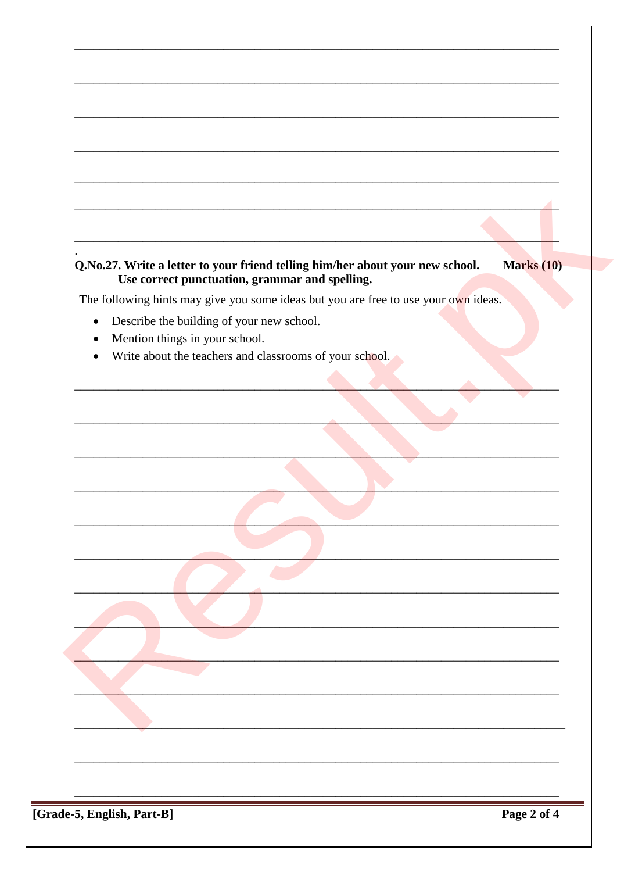| Q.No.27. Write a letter to your friend telling him/her about your new school.<br>Use correct punctuation, grammar and spelling. | <b>Marks</b> (10) |
|---------------------------------------------------------------------------------------------------------------------------------|-------------------|
| The following hints may give you some ideas but you are free to use your own ideas.                                             |                   |
| Describe the building of your new school.<br>$\bullet$                                                                          |                   |
| Mention things in your school.                                                                                                  |                   |
| Write about the teachers and classrooms of your school.                                                                         |                   |
|                                                                                                                                 |                   |
|                                                                                                                                 |                   |
|                                                                                                                                 |                   |
|                                                                                                                                 |                   |
|                                                                                                                                 |                   |
|                                                                                                                                 |                   |
|                                                                                                                                 |                   |
|                                                                                                                                 |                   |
|                                                                                                                                 |                   |
|                                                                                                                                 |                   |
|                                                                                                                                 |                   |
|                                                                                                                                 |                   |
|                                                                                                                                 |                   |
|                                                                                                                                 |                   |
|                                                                                                                                 |                   |
|                                                                                                                                 |                   |
|                                                                                                                                 |                   |
|                                                                                                                                 |                   |
|                                                                                                                                 |                   |
|                                                                                                                                 |                   |

[Grade-5, English, Part-B]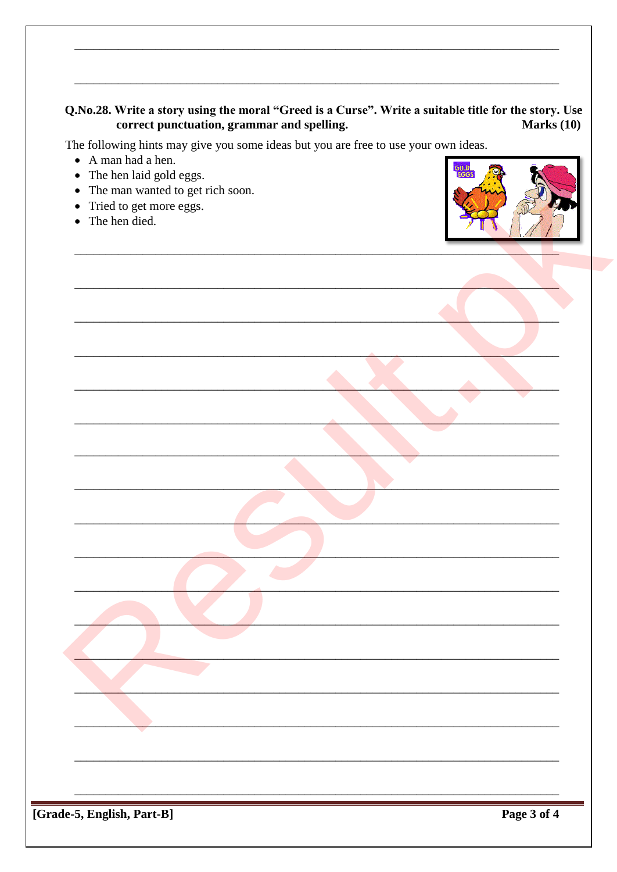## Q.No.28. Write a story using the moral "Greed is a Curse". Write a suitable title for the story. Use correct punctuation, grammar and spelling. Marks  $(10)$

The following hints may give you some ideas but you are free to use your own ideas.

- A man had a hen.
- $\bullet$  The hen laid gold eggs.
- The man wanted to get rich soon.
- Tried to get more eggs.
- The hen died.



| $\overline{\phantom{a}}$                                                        |
|---------------------------------------------------------------------------------|
|                                                                                 |
|                                                                                 |
| $\mathbf{D}_{\alpha\alpha\alpha}$ 2 of 4<br>$\partial \phi \in$ English Dant D1 |

[Grade-5, English, Part-B]